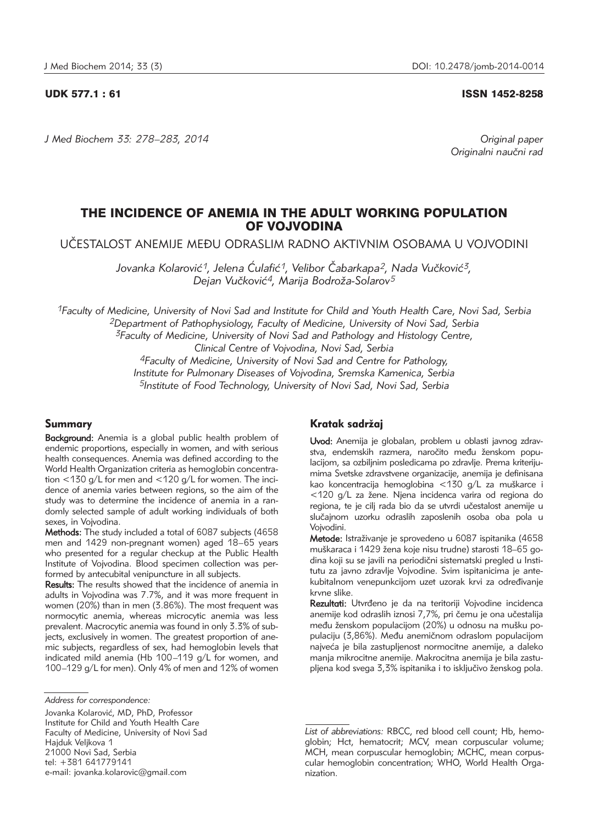*J Med Biochem 33: 278–283, 2014 Original paper*

UDK 577.1 : 61 ISSN 1452-8258

Originalni naučni rad

# THE INCIDENCE OF ANEMIA IN THE ADULT WORKING POPULATION OF VOJVODINA

U^ESTALOST ANEMIJE ME\U ODRASLIM RADNO AKTIVNIM OSOBAMA U VOJVODINI

Jovanka Kolarović<sup>1</sup>, Jelena Ćulafić<sup>1</sup>, Velibor Čabarkapa<sup>2</sup>, Nada Vučković<sup>3</sup>, *Dejan Vu~kovi}4, Marija Bodro`a-Solarov5*

*1Faculty of Medicine, University of Novi Sad and Institute for Child and Youth Health Care, Novi Sad, Serbia 2Department of Pathophysiology, Faculty of Medicine, University of Novi Sad, Serbia 3Faculty of Medicine, University of Novi Sad and Pathology and Histology Centre, Clinical Centre of Vojvodina, Novi Sad, Serbia 4Faculty of Medicine, University of Novi Sad and Centre for Pathology, Institute for Pulmonary Diseases of Vojvodina, Sremska Kamenica, Serbia*

*5Institute of Food Technology, University of Novi Sad, Novi Sad, Serbia*

# Summary

Background: Anemia is a global public health problem of endemic proportions, especially in women, and with serious health consequences. Anemia was defined according to the World Health Organization criteria as hemoglobin concentration <130 g/L for men and <120 g/L for women. The incidence of anemia varies between regions, so the aim of the study was to determine the incidence of anemia in a randomly selected sample of adult working individuals of both sexes, in Vojvodina.

Methods: The study included a total of 6087 subjects (4658 men and 1429 non-pregnant women) aged 18–65 years who presented for a regular checkup at the Public Health Institute of Vojvodina. Blood specimen collection was performed by antecubital venipuncture in all subjects.

Results: The results showed that the incidence of anemia in adults in Vojvodina was 7.7%, and it was more frequent in women (20%) than in men (3.86%). The most frequent was normocytic anemia, whereas microcytic anemia was less prevalent. Macrocytic anemia was found in only 3.3% of subjects, exclusively in women. The greatest proportion of anemic subjects, regardless of sex, had hemoglobin levels that indicated mild anemia (Hb 100–119 g/L for women, and 100–129 g/L for men). Only 4% of men and 12% of women

Jovanka Kolarović, MD, PhD, Professor Institute for Child and Youth Health Care Faculty of Medicine, University of Novi Sad Hajduk Veljkova 1 21000 Novi Sad, Serbia tel: +381 641779141 e-mail: jovanka.kolarovic@gmail.com

# Kratak sadržaj

Uvod: Anemija je globalan, problem u oblasti javnog zdravstva, endemskih razmera, naročito među ženskom populacijom, sa ozbiljnim posledicama po zdravlje. Prema kriterijumima Svetske zdravstvene organizacije, anemija je definisana kao koncentracija hemoglobina <130 g/L za muškarce i <120 g/L za žene. Njena incidenca varira od regiona do regiona, te je cili rada bio da se utvrdi učestalost anemije u slučajnom uzorku odraslih zaposlenih osoba oba pola u Vojvodini.

Metode: Istraživanje je sprovedeno u 6087 ispitanika (4658 muškaraca i 1429 žena koje nisu trudne) starosti 18-65 godina koji su se javili na periodični sistematski pregled u Institutu za javno zdravlje Vojvodine. Svim ispitanicima je antekubitalnom venepunkcijom uzet uzorak krvi za određivanje krvne slike.

Rezultati: Utvrđeno je da na teritoriji Vojvodine incidenca anemije kod odraslih iznosi 7,7%, pri čemu je ona učestalija među ženskom populacijom (20%) u odnosu na mušku populaciju (3,86%). Među anemičnom odraslom populacijom najveća je bila zastupljenost normocitne anemije, a daleko manja mikrocitne anemije. Makrocitna anemija je bila zastupljena kod svega 3,3% ispitanika i to isključivo ženskog pola.

*Address for correspondence:*

*List of abbreviations:* RBCC, red blood cell count; Hb, hemoglobin; Hct, hematocrit; MCV, mean corpuscular volume; MCH, mean corpuscular hemoglobin; MCHC, mean corpuscular hemoglobin concentration; WHO, World Health Organization.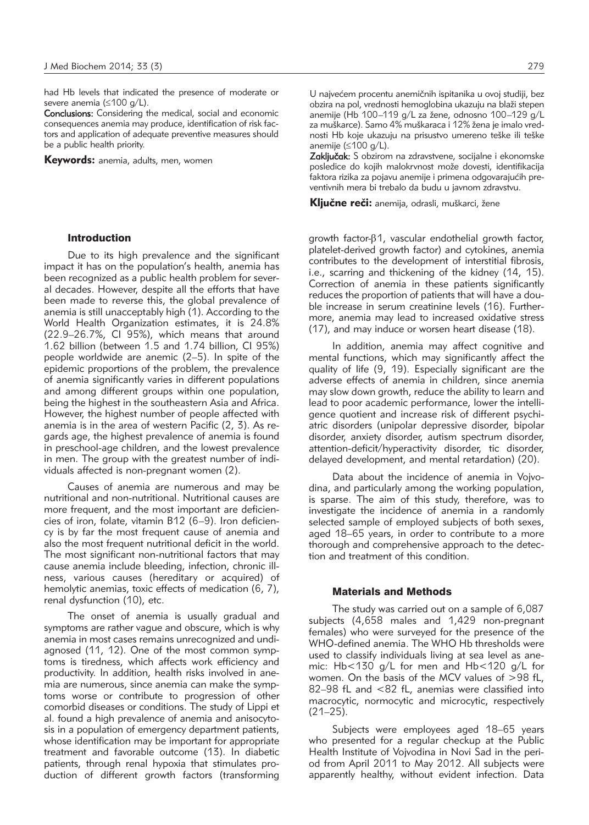had Hb levels that indicated the presence of moderate or severe anemia (≤100 g/L).

Conclusions: Considering the medical, social and economic consequences anemia may produce, identification of risk factors and application of adequate preventive measures should be a public health priority.

Keywords: anemia, adults, men, women

#### Introduction

Due to its high prevalence and the significant impact it has on the population's health, anemia has been recognized as a public health problem for several decades. However, despite all the efforts that have been made to reverse this, the global prevalence of anemia is still unacceptably high (1). According to the World Health Organization estimates, it is 24.8% (22.9–26.7%, CI 95%), which means that around 1.62 billion (between  $1.5$  and 1.74 billion, CI 95%) people worldwide are anemic (2–5). In spite of the epidemic proportions of the problem, the prevalence of anemia significantly varies in different populations and among different groups within one population, being the highest in the southeastern Asia and Africa. However, the highest number of people affected with anemia is in the area of western Pacific (2, 3). As re gards age, the highest prevalence of anemia is found in preschool-age children, and the lowest prevalence in men. The group with the greatest number of individuals affected is non-pregnant women (2).

Causes of anemia are numerous and may be nutritional and non-nutritional. Nutritional causes are more frequent, and the most important are deficiencies of iron, folate, vitamin B12 (6–9). Iron deficiency is by far the most frequent cause of anemia and also the most frequent nutritional deficit in the world. The most significant non-nutritional factors that may cause anemia include bleeding, infection, chronic illness, various causes (hereditary or acquired) of hemolytic anemias, toxic effects of medication (6, 7), renal dysfunction (10), etc.

The onset of anemia is usually gradual and symptoms are rather vague and obscure, which is why anemia in most cases remains unrecognized and undiagnosed (11, 12). One of the most common symptoms is tiredness, which affects work efficiency and productivity. In addition, health risks involved in anemia are numerous, since anemia can make the symptoms worse or contribute to progression of other comorbid diseases or conditions. The study of Lippi et al. found a high prevalence of anemia and anisocytosis in a population of emergency department patients, whose identification may be important for appropriate treatment and favorable outcome (13). In diabetic patients, through renal hypoxia that stimulates production of different growth factors (transforming

U najvećem procentu anemičnih ispitanika u ovoj studiji, bez obzira na pol, vrednosti hemoglobina ukazuju na blaži stepen anemije (Hb 100-119 g/L za žene, odnosno 100-129 g/L za muškarce). Samo 4% muškaraca i 12% žena je imalo vrednosti Hb koje ukazuju na prisustvo umereno teške ili teške anemije (≤100 g/L).

Zaključak: S obzirom na zdravstvene, socijalne i ekonomske posledice do kojih malokrvnost može dovesti, identifikacija .<br>faktora rizika za pojavu anemije i primena odgovarajućih preventivnih mera bi trebalo da budu u javnom zdravstvu.

Kliučne reči: anemija, odrasli, muškarci, žene

growth factor- $\beta$ 1, vascular endothelial growth factor, platelet-derived growth factor) and cytokines, anemia contributes to the development of interstitial fibrosis, i.e., scarring and thickening of the kidney (14, 15). Correction of anemia in these patients significantly reduces the proportion of patients that will have a double increase in serum creatinine levels (16). Furthermore, anemia may lead to increased oxidative stress (17), and may induce or worsen heart disease (18).

In addition, anemia may affect cognitive and mental functions, which may significantly affect the quality of life (9, 19). Especially significant are the adverse effects of anemia in children, since anemia may slow down growth, reduce the ability to learn and lead to poor academic performance, lower the intelligence quotient and increase risk of different psychiatric disorders (unipolar depressive disorder, bipolar disorder, anxiety disorder, autism spectrum disorder, attention-deficit/hyperactivity disorder, tic disorder, delayed development, and mental retardation) (20).

Data about the incidence of anemia in Vojvodina, and particularly among the working population, is sparse. The aim of this study, therefore, was to investigate the incidence of anemia in a randomly selected sample of employed subjects of both sexes, aged 18–65 years, in order to contribute to a more thorough and comprehensive approach to the detection and treatment of this condition.

### Materials and Methods

The study was carried out on a sample of 6,087 subjects (4,658 males and 1,429 non-pregnant females) who were surveyed for the presence of the WHO-defined anemia. The WHO Hb thresholds were used to classify individuals living at sea level as anemic: Hb<130 g/L for men and Hb<120 g/L for women. On the basis of the MCV values of  $>98$  fL, 82–98 fL and <82 fL, anemias were classified into macrocytic, normocytic and microcytic, respectively  $(21-25)$ .

Subjects were employees aged 18–65 years who presented for a regular checkup at the Public Health Institute of Vojvodina in Novi Sad in the period from April 2011 to May 2012. All subjects were apparently healthy, without evident infection. Data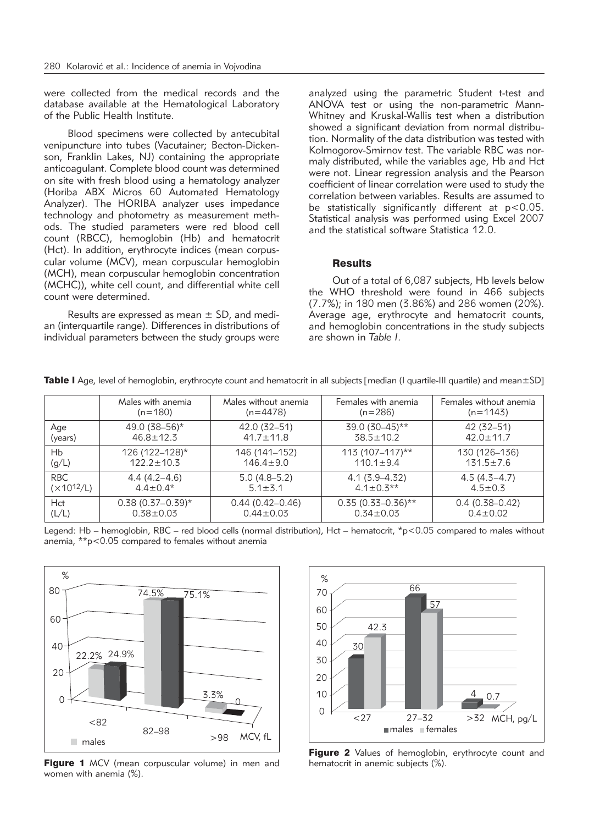were collected from the medical records and the database available at the Hematological Laboratory of the Public Health Institute.

Blood specimens were collected by antecubital venipuncture into tubes (Vacutainer; Becton-Dickenson, Franklin Lakes, NJ) containing the appropriate anticoagulant. Complete blood count was determined on site with fresh blood using a hematology analyzer (Horiba ABX Micros 60 Automated Hematology Analyzer). The HORIBA analyzer uses impedance technology and photometry as measurement methods. The studied parameters were red blood cell count (RBCC), hemoglobin (Hb) and hematocrit (Hct). In addition, erythrocyte indices (mean corpuscular volume (MCV), mean corpuscular hemoglobin (MCH), mean corpuscular hemoglobin concentration (MCHC)), white cell count, and differential white cell count were determined.

Results are expressed as mean  $\pm$  SD, and median (interquartile range). Differences in distributions of individual parameters between the study groups were analyzed using the parametric Student t-test and ANOVA test or using the non-parametric Mann-Whitney and Kruskal-Wallis test when a distribution showed a significant deviation from normal distribution. Normality of the data distribution was tested with Kolmogorov-Smirnov test. The variable RBC was normaly distributed, while the variables age, Hb and Hct were not. Linear regression analysis and the Pearson coefficient of linear correlation were used to study the correlation between variables. Results are assumed to be statistically significantly different at  $p < 0.05$ . Statistical analysis was performed using Excel 2007 and the statistical software Statistica 12.0.

### **Results**

Out of a total of 6,087 subjects, Hb levels below the WHO threshold were found in 466 subjects (7.7%); in 180 men (3.86%) and 286 women (20%). Average age, erythrocyte and hematocrit counts, and hemoglobin concentrations in the study subjects are shown in *Table I*.

|                      | Males with anemia     | Males without anemia | Females with anemia  | Females without anemia |
|----------------------|-----------------------|----------------------|----------------------|------------------------|
|                      | $(n=180)$             | $(n=4478)$           | $(n=286)$            | $(n=1143)$             |
| Age                  | 49.0 (38-56)*         | 42.0 (32–51)         | 39.0 (30-45)**       | 42 (32–51)             |
| (years)              | $46.8 \pm 12.3$       | $41.7 \pm 11.8$      | $38.5 \pm 10.2$      | $42.0 \pm 11.7$        |
| <b>H<sub>b</sub></b> | 126 (122-128)*        | 146 (141-152)        | $113(107 - 117)*$    | 130 (126–136)          |
| (g/L)                | $122.2 \pm 10.3$      | $146.4 \pm 9.0$      | $110.1 \pm 9.4$      | $131.5 \pm 7.6$        |
| <b>RBC</b>           | $4.4(4.2 - 4.6)$      | $5.0(4.8-5.2)$       | $4.1(3.9 - 4.32)$    | $4.5(4.3-4.7)$         |
| $(x10^{12}/L)$       | $4.4 \pm 0.4*$        | $5.1 \pm 3.1$        | $4.1 + 0.3**$        | $4.5 \pm 0.3$          |
| Hct                  | $0.38$ (0.37 – 0.39)* | $0.44(0.42-0.46)$    | $0.35(0.33-0.36)$ ** | $0.4(0.38 - 0.42)$     |
| (L/L)                | $0.38 + 0.03$         | $0.44 \pm 0.03$      | $0.34 \pm 0.03$      | $0.4 \pm 0.02$         |

Table I Age, level of hemoglobin, erythrocyte count and hematocrit in all subjects [median (I quartile-III quartile) and mean $\pm$ SD]

Legend: Hb – hemoglobin, RBC – red blood cells (normal distribution), Hct – hematocrit, \*p<0.05 compared to males without anemia, \*\*p<0.05 compared to females without anemia



Figure 1 MCV (mean corpuscular volume) in men and women with anemia (%).



Figure 2 Values of hemoglobin, erythrocyte count and hematocrit in anemic subjects (%).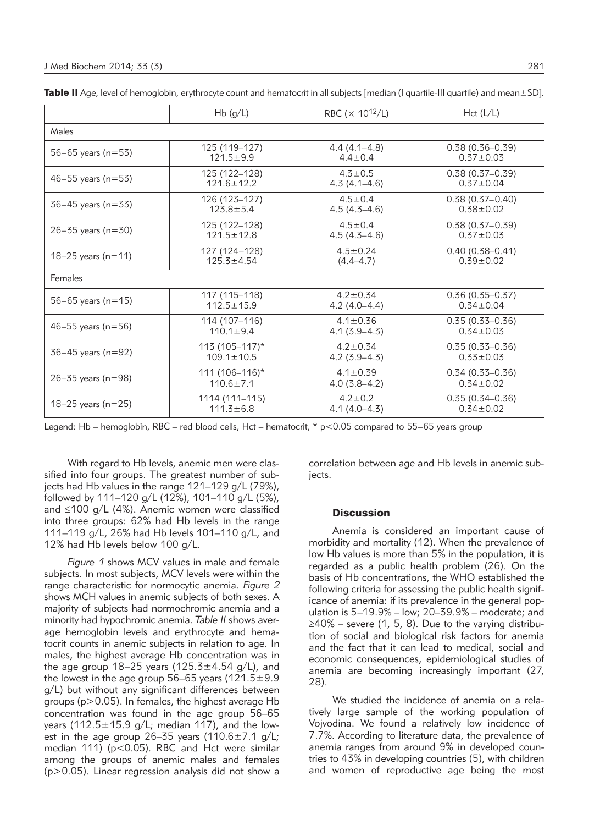|                        | Hb(g/L)            | RBC ( $\times$ 10 <sup>12</sup> /L) | Hct (L/L)           |
|------------------------|--------------------|-------------------------------------|---------------------|
| Males                  |                    |                                     |                     |
| 56-65 years ( $n=53$ ) | 125 (119-127)      | $4.4(4.1 - 4.8)$                    | $0.38(0.36 - 0.39)$ |
|                        | $121.5 \pm 9.9$    | $4.4 \pm 0.4$                       | $0.37 \pm 0.03$     |
| 46-55 years ( $n=53$ ) | 125 (122–128)      | $4.3 \pm 0.5$                       | $0.38(0.37 - 0.39)$ |
|                        | $121.6 \pm 12.2$   | $4.3(4.1 - 4.6)$                    | $0.37 \pm 0.04$     |
| $36-45$ years (n=33)   | 126 (123-127)      | $4.5 \pm 0.4$                       | $0.38(0.37 - 0.40)$ |
|                        | $123.8 + 5.4$      | $4.5(4.5-4.6)$                      | $0.38 + 0.02$       |
| $26 - 35$ years (n=30) | 125 (122-128)      | $4.5 \pm 0.4$                       | $0.38(0.37 - 0.39)$ |
|                        | $121.5 \pm 12.8$   | $4.5(4.3 - 4.6)$                    | $0.37 \pm 0.03$     |
| 18–25 years ( $n=11$ ) | 127 (124–128)      | $4.5 \pm 0.24$                      | $0.40(0.38 - 0.41)$ |
|                        | $125.3 \pm 4.54$   | $(4.4 - 4.7)$                       | $0.39 + 0.02$       |
| Females                |                    |                                     |                     |
| 56-65 years ( $n=15$ ) | 117 (115–118)      | $4.2 \pm 0.34$                      | $0.36(0.35 - 0.37)$ |
|                        | $112.5 \pm 15.9$   | $4.2(4.0-4.4)$                      | $0.34 \pm 0.04$     |
| 46-55 years ( $n=56$ ) | 114 (107-116)      | $4.1 \pm 0.36$                      | $0.35(0.33 - 0.36)$ |
|                        | $110.1 \pm 9.4$    | $4.1(3.9 - 4.3)$                    | $0.34 \pm 0.03$     |
| $36-45$ years (n=92)   | $113(105 - 117)^*$ | $4.2 \pm 0.34$                      | $0.35(0.33 - 0.36)$ |
|                        | $109.1 \pm 10.5$   | $4.2(3.9 - 4.3)$                    | $0.33 \pm 0.03$     |
| $26 - 35$ years (n=98) | $111(106 - 116)^*$ | $4.1 \pm 0.39$                      | $0.34(0.33 - 0.36)$ |
|                        | $110.6 \pm 7.1$    | $4.0(3.8-4.2)$                      | $0.34 \pm 0.02$     |
| 18-25 years ( $n=25$ ) | 1114 (111-115)     | $4.2 \pm 0.2$                       | $0.35(0.34 - 0.36)$ |
|                        | $111.3 \pm 6.8$    | $4.1(4.0-4.3)$                      | $0.34 \pm 0.02$     |

Table II Age, level of hemoglobin, erythrocyte count and hematocrit in all subjects [median (I quartile-III quartile) and mean $\pm$ SD].

Legend: Hb – hemoglobin, RBC – red blood cells, Hct – hematocrit, \* p<0.05 compared to 55–65 years group

With regard to Hb levels, anemic men were classified into four groups. The greatest number of subjects had Hb values in the range 121–129 g/L (79%), followed by 111–120 g/L (12%), 101–110 g/L (5%), and ≤100 g/L (4%). Anemic women were classified into three groups: 62% had Hb levels in the range 111–119 g/L, 26% had Hb levels 101–110 g/L, and 12% had Hb levels below 100 g/L.

*Figure 1* shows MCV values in male and female subjects. In most subjects, MCV levels were within the range characteristic for normocytic anemia. *Figure 2* shows MCH values in anemic subjects of both sexes. A majority of subjects had normochromic anemia and a minority had hypochromic anemia. *Table II* shows average hemoglobin levels and erythrocyte and hematocrit counts in anemic subjects in relation to age. In males, the highest average Hb concentration was in the age group 18–25 years (125.3 $\pm$ 4.54 g/L), and the lowest in the age group 56–65 years  $(121.5\pm9.9$ g/L) but without any significant differences between groups ( $p > 0.05$ ). In females, the highest average Hb concentration was found in the age group 56–65 years (112.5 $\pm$ 15.9 g/L; median 117), and the lowest in the age group 26-35 years  $(110.6 \pm 7.1 \text{ g/L})$ ; median 111) (p<0.05). RBC and Hct were similar among the groups of anemic males and females (p>0.05). Linear regression analysis did not show a

correlation between age and Hb levels in anemic subjects.

#### **Discussion**

Anemia is considered an important cause of morbidity and mortality (12). When the prevalence of low Hb values is more than 5% in the population, it is regarded as a public health problem (26). On the basis of Hb concentrations, the WHO established the following criteria for assessing the public health significance of anemia: if its prevalence in the general population is 5–19.9% – low; 20–39.9% – moderate; and  $\geq$ 40% – severe (1, 5, 8). Due to the varying distribution of social and biological risk factors for anemia and the fact that it can lead to medical, social and economic consequences, epidemiological studies of anemia are becoming increasingly important (27, 28).

We studied the incidence of anemia on a relatively large sample of the working population of Voivodina. We found a relatively low incidence of 7.7%. According to literature data, the prevalence of anemia ranges from around 9% in developed countries to 43% in developing countries (5), with children and women of reproductive age being the most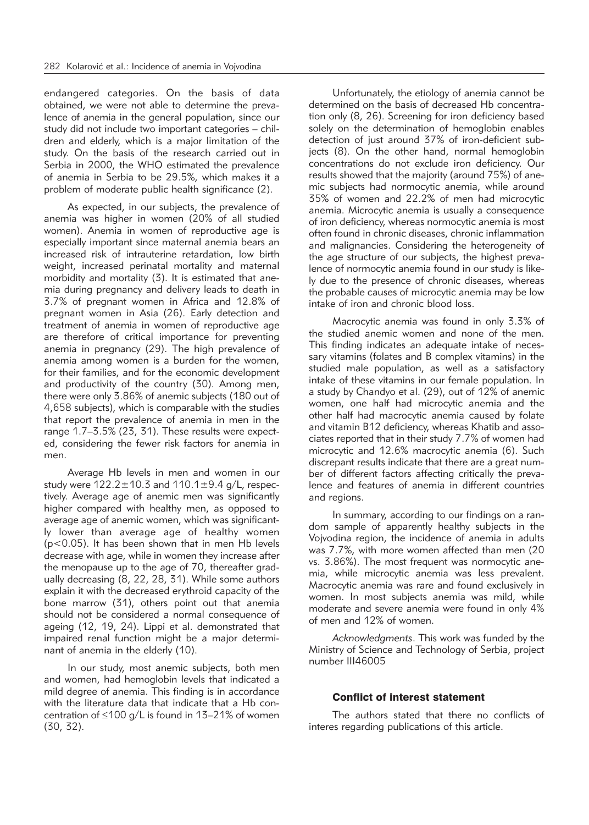endangered categories. On the basis of data obtained, we were not able to determine the prevalence of anemia in the general population, since our study did not include two important categories – children and elderly, which is a major limitation of the study. On the basis of the research carried out in Serbia in 2000, the WHO estimated the prevalence of anemia in Serbia to be 29.5%, which makes it a problem of moderate public health significance (2).

As expected, in our subjects, the prevalence of anemia was higher in women (20% of all studied women). Anemia in women of reproductive age is especially important since maternal anemia bears an increased risk of intrauterine retardation, low birth weight, increased perinatal mortality and maternal morbidity and mortality (3). It is estimated that anemia during pregnancy and delivery leads to death in 3.7% of pregnant women in Africa and 12.8% of pregnant women in Asia (26). Early detection and treatment of anemia in women of reproductive age are therefore of critical importance for preventing anemia in pregnancy (29). The high prevalence of anemia among women is a burden for the women, for their families, and for the economic development and productivity of the country (30). Among men, there were only 3.86% of anemic subjects (180 out of 4,658 subjects), which is comparable with the studies that report the prevalence of anemia in men in the range 1.7–3.5% (23, 31). These results were expected, considering the fewer risk factors for anemia in men.

Average Hb levels in men and women in our study were  $122.2 \pm 10.3$  and  $110.1 \pm 9.4$  g/L, respectively. Average age of anemic men was significantly higher compared with healthy men, as opposed to average age of anemic women, which was significantly lower than average age of healthy women (p<0.05). It has been shown that in men Hb levels decrease with age, while in women they increase after the menopause up to the age of 70, thereafter gradually decreasing (8, 22, 28, 31). While some authors explain it with the decreased erythroid capacity of the bone marrow (31), others point out that anemia should not be considered a normal consequence of ageing (12, 19, 24). Lippi et al. demonstrated that impaired renal function might be a major determinant of anemia in the elderly (10).

In our study, most anemic subjects, both men and women, had hemoglobin levels that indicated a mild degree of anemia. This finding is in accordance with the literature data that indicate that a Hb concentration of ≤100 g/L is found in 13–21% of women (30, 32).

Unfortunately, the etiology of anemia cannot be determined on the basis of decreased Hb concentration only (8, 26). Screening for iron deficiency based solely on the determination of hemoglobin enables detection of just around 37% of iron-deficient subjects (8). On the other hand, normal hemoglobin concentrations do not exclude iron deficiency. Our results showed that the majority (around 75%) of anemic subjects had normocytic anemia, while around 35% of women and 22.2% of men had microcytic anemia. Microcytic anemia is usually a consequence of iron deficiency, whereas normocytic anemia is most often found in chronic diseases, chronic inflammation and malignancies. Considering the heterogeneity of the age structure of our subjects, the highest prevalence of normocytic anemia found in our study is likely due to the presence of chronic diseases, whereas the probable causes of microcytic anemia may be low intake of iron and chronic blood loss.

Macrocytic anemia was found in only 3.3% of the studied anemic women and none of the men. This finding indicates an adequate intake of necessary vitamins (folates and B complex vitamins) in the studied male population, as well as a satisfactory intake of these vitamins in our female population. In a study by Chandyo et al. (29), out of 12% of anemic women, one half had microcytic anemia and the other half had macrocytic anemia caused by folate and vitamin B12 deficiency, whereas Khatib and associates reported that in their study 7.7% of women had microcytic and 12.6% macrocytic anemia (6). Such discrepant results indicate that there are a great number of different factors affecting critically the prevalence and features of anemia in different countries and regions.

In summary, according to our findings on a random sample of apparently healthy subjects in the Vojvodina region, the incidence of anemia in adults was 7.7%, with more women affected than men (20 vs. 3.86%). The most frequent was normocytic anemia, while microcytic anemia was less prevalent. Macrocytic anemia was rare and found exclusively in women. In most subjects anemia was mild, while moderate and severe anemia were found in only 4% of men and 12% of women.

*Acknowledgments*. This work was funded by the Ministry of Science and Technology of Serbia, project number III46005

# Conflict of interest statement

The authors stated that there no conflicts of interes regarding publications of this article.